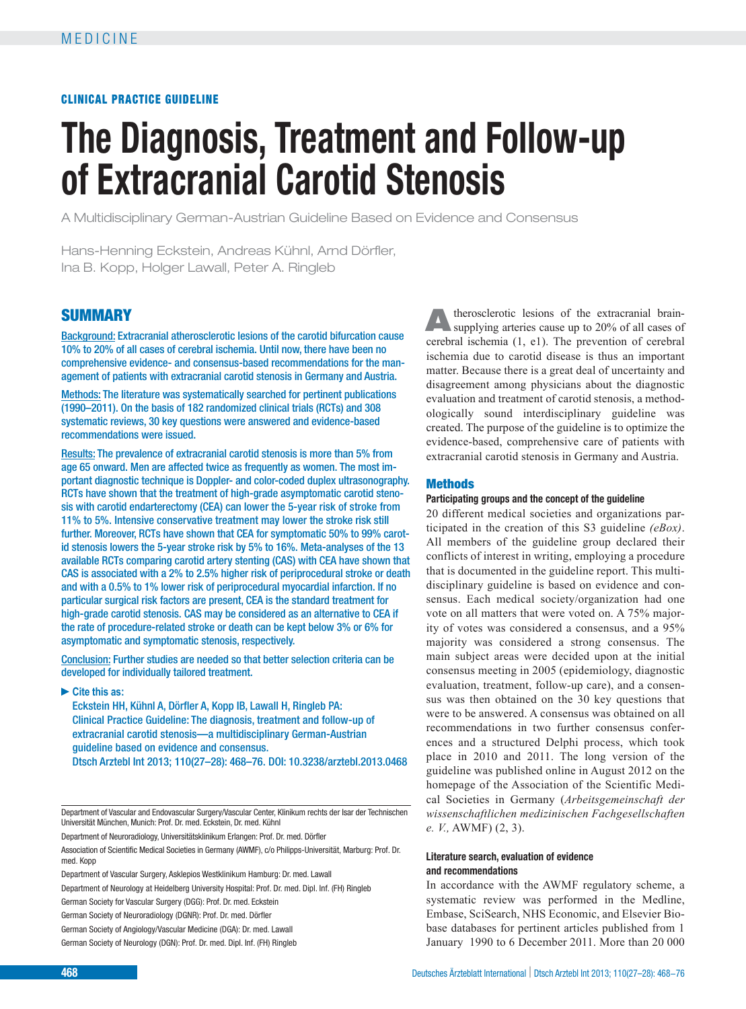# CLINICAL PRACTICE GUIDELINE

# **The Diagnosis, Treatment and Follow-up of Extracranial Carotid Stenosis**

A Multidisciplinary German-Austrian Guideline Based on Evidence and Consensus

Hans-Henning Eckstein, Andreas Kühnl, Arnd Dörfler, Ina B. Kopp, Holger Lawall, Peter A. Ringleb

# **SUMMARY**

Background: Extracranial atherosclerotic lesions of the carotid bifurcation cause 10% to 20% of all cases of cerebral ischemia. Until now, there have been no comprehensive evidence- and consensus-based recommendations for the management of patients with extracranial carotid stenosis in Germany and Austria.

Methods: The literature was systematically searched for pertinent publications (1990–2011). On the basis of 182 randomized clinical trials (RCTs) and 308 systematic reviews, 30 key questions were answered and evidence-based recommendations were issued.

Results: The prevalence of extracranial carotid stenosis is more than 5% from age 65 onward. Men are affected twice as frequently as women. The most important diagnostic technique is Doppler- and color-coded duplex ultrasonography. RCTs have shown that the treatment of high-grade asymptomatic carotid stenosis with carotid endarterectomy (CEA) can lower the 5-year risk of stroke from 11% to 5%. Intensive conservative treatment may lower the stroke risk still further. Moreover, RCTs have shown that CEA for symptomatic 50% to 99% carotid stenosis lowers the 5-year stroke risk by 5% to 16%. Meta-analyses of the 13 available RCTs comparing carotid artery stenting (CAS) with CEA have shown that CAS is associated with a 2% to 2.5% higher risk of periprocedural stroke or death and with a 0.5% to 1% lower risk of periprocedural myocardial infarction. If no particular surgical risk factors are present, CEA is the standard treatment for high-grade carotid stenosis. CAS may be considered as an alternative to CEA if the rate of procedure-related stroke or death can be kept below 3% or 6% for asymptomatic and symptomatic stenosis, respectively.

Conclusion: Further studies are needed so that better selection criteria can be developed for individually tailored treatment.

#### **►Cite this as:**

Eckstein HH, Kühnl A, Dörfler A, Kopp IB, Lawall H, Ringleb PA: Clinical Practice Guideline: The diagnosis, treatment and follow-up of extracranial carotid stenosis—a multidisciplinary German-Austrian guideline based on evidence and consensus. Dtsch Arztebl Int 2013; 110(27–28): 468–76. DOI: 10.3238/arztebl.2013.0468

Department of Vascular and Endovascular Surgery/Vascular Center, Klinikum rechts der Isar der Technischen Universität München, Munich: Prof. Dr. med. Eckstein, Dr. med. Kühnl

Department of Neuroradiology, Universitätsklinikum Erlangen: Prof. Dr. med. Dörfler

Association of Scientific Medical Societies in Germany (AWMF), c/o Philipps-Universität, Marburg: Prof. Dr. med. Kopp

Department of Neurology at Heidelberg University Hospital: Prof. Dr. med. Dipl. Inf. (FH) Ringleb

German Society for Vascular Surgery (DGG): Prof. Dr. med. Eckstein

German Society of Neuroradiology (DGNR): Prof. Dr. med. Dörfler

Atherosclerotic lesions of the extracranial brain-<br>supplying arteries cause up to 20% of all cases of cerebral ischemia (1, e1). The prevention of cerebral ischemia due to carotid disease is thus an important matter. Because there is a great deal of uncertainty and disagreement among physicians about the diagnostic evaluation and treatment of carotid stenosis, a method ologically sound interdisciplinary guideline was created. The purpose of the guideline is to optimize the evidence-based, comprehensive care of patients with extracranial carotid stenosis in Germany and Austria.

#### **Methods**

### **Participating groups and the concept of the guideline**

20 different medical societies and organizations participated in the creation of this S3 guideline *(eBox)*. All members of the guideline group declared their conflicts of interest in writing, employing a procedure that is documented in the guideline report. This multidisciplinary guideline is based on evidence and consensus. Each medical society/organization had one vote on all matters that were voted on. A 75% majority of votes was considered a consensus, and a 95% majority was considered a strong consensus. The main subject areas were decided upon at the initial consensus meeting in 2005 (epidemiology, diagnostic evaluation, treatment, follow-up care), and a consensus was then obtained on the 30 key questions that were to be answered. A consensus was obtained on all recommendations in two further consensus conferences and a structured Delphi process, which took place in 2010 and 2011. The long version of the guideline was published online in August 2012 on the homepage of the Association of the Scientific Medical Societies in Germany (*Arbeitsgemeinschaft der wissenschaftlichen medizinischen Fachgesell schaften e. V.,* AWMF) (2, 3).

### **Literature search, evaluation of evidence and recommendations**

In accordance with the AWMF regulatory scheme, a systematic review was performed in the Medline, Embase, SciSearch, NHS Economic, and Elsevier Biobase databases for pertinent articles published from 1 January 1990 to 6 December 2011. More than 20 000

Department of Vascular Surgery, Asklepios Westklinikum Hamburg: Dr. med. Lawall

German Society of Angiology/Vascular Medicine (DGA): Dr. med. Lawall

German Society of Neurology (DGN): Prof. Dr. med. Dipl. Inf. (FH) Ringleb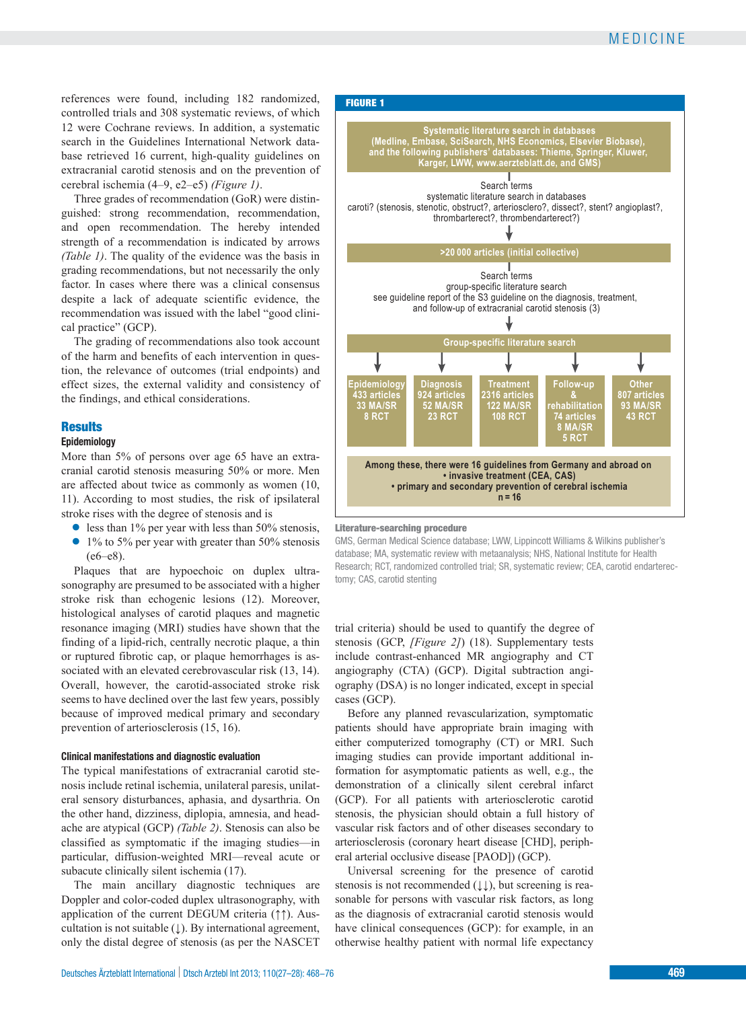references were found, including 182 randomized, controlled trials and 308 systematic reviews, of which 12 were Cochrane reviews. In addition, a systematic search in the Guidelines International Network database retrieved 16 current, high-quality guidelines on extracranial carotid stenosis and on the prevention of cerebral ischemia (4–9, e2–e5) *(Figure 1)*.

Three grades of recommendation (GoR) were distinguished: strong recommendation, recommendation, and open recommendation. The hereby intended strength of a recommendation is indicated by arrows *(Table 1)*. The quality of the evidence was the basis in grading recommendations, but not necessarily the only factor. In cases where there was a clinical consensus despite a lack of adequate scientific evidence, the recommendation was issued with the label "good clinical practice" (GCP).

The grading of recommendations also took account of the harm and benefits of each intervention in question, the relevance of outcomes (trial endpoints) and effect sizes, the external validity and consistency of the findings, and ethical considerations.

### **Results**

### **Epidemiology**

More than 5% of persons over age 65 have an extracranial carotid stenosis measuring 50% or more. Men are affected about twice as commonly as women (10, 11). According to most studies, the risk of ipsilateral stroke rises with the degree of stenosis and is

- **●** less than 1% per year with less than 50% stenosis,
- **●** 1% to 5% per year with greater than 50% stenosis (e6–e8).

Plaques that are hypoechoic on duplex ultrasonography are presumed to be associated with a higher stroke risk than echogenic lesions (12). Moreover, histological analyses of carotid plaques and magnetic resonance imaging (MRI) studies have shown that the finding of a lipid-rich, centrally necrotic plaque, a thin or ruptured fibrotic cap, or plaque hemorrhages is associated with an elevated cerebrovascular risk (13, 14). Overall, however, the carotid-associated stroke risk seems to have declined over the last few years, possibly because of improved medical primary and secondary prevention of arteriosclerosis (15, 16).

### **Clinical manifestations and diagnostic evaluation**

The typical manifestations of extracranial carotid stenosis include retinal ischemia, unilateral paresis, unilateral sensory disturbances, aphasia, and dysarthria. On the other hand, dizziness, diplopia, amnesia, and headache are atypical (GCP) *(Table 2)*. Stenosis can also be classified as symptomatic if the imaging studies—in particular, diffusion-weighted MRI—reveal acute or subacute clinically silent ischemia (17).

The main ancillary diagnostic techniques are Doppler and color-coded duplex ultrasonography, with application of the current DEGUM criteria (↑↑). Auscultation is not suitable  $( )$ . By international agreement, only the distal degree of stenosis (as per the NASCET



GMS, German Medical Science database; LWW, Lippincott Williams & Wilkins publisher's database; MA, systematic review with metaanalysis; NHS, National Institute for Health Research; RCT, randomized controlled trial; SR, systematic review; CEA, carotid endarterectomy; CAS, carotid stenting

trial criteria) should be used to quantify the degree of stenosis (GCP, *[Figure 2]*) (18). Supplementary tests include contrast-enhanced MR angiography and CT angiography (CTA) (GCP). Digital subtraction angiography (DSA) is no longer indicated, except in special cases (GCP).

Before any planned revascularization, symptomatic patients should have appropriate brain imaging with either computerized tomography (CT) or MRI. Such imaging studies can provide important additional information for asymptomatic patients as well, e.g., the demonstration of a clinically silent cerebral infarct (GCP). For all patients with arteriosclerotic carotid stenosis, the physician should obtain a full history of vascular risk factors and of other diseases secondary to arteriosclerosis (coronary heart disease [CHD], peripheral arterial occlusive disease [PAOD]) (GCP).

Universal screening for the presence of carotid stenosis is not recommended  $(\downarrow \downarrow)$ , but screening is reasonable for persons with vascular risk factors, as long as the diagnosis of extracranial carotid stenosis would have clinical consequences (GCP): for example, in an otherwise healthy patient with normal life expectancy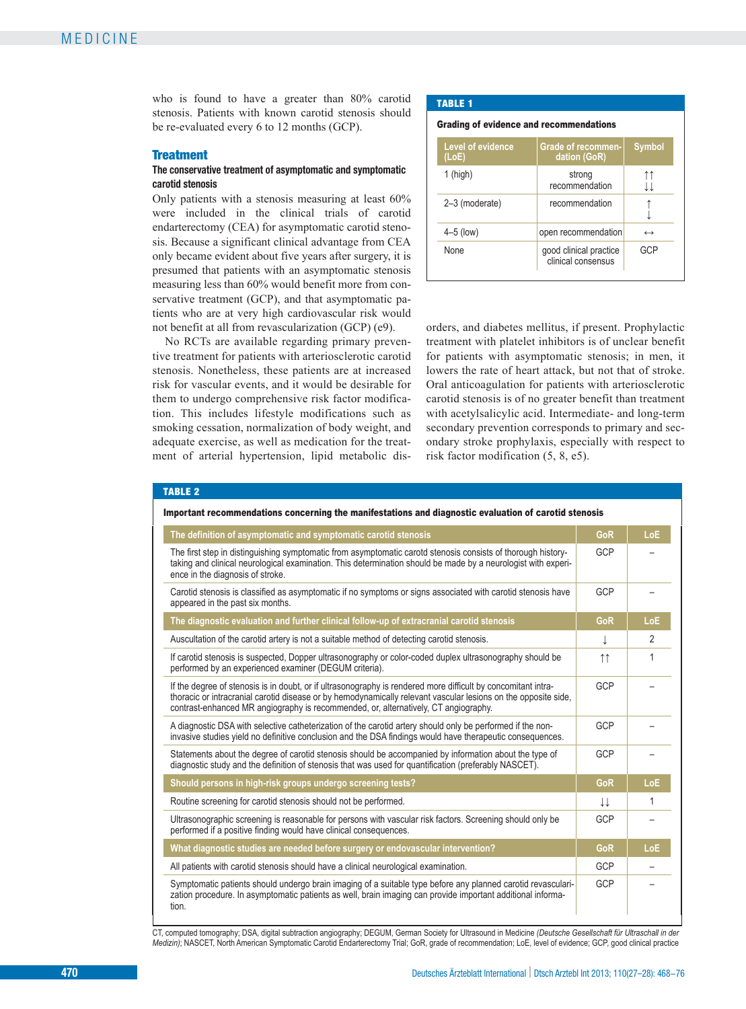who is found to have a greater than 80% carotid stenosis. Patients with known carotid stenosis should be re-evaluated every 6 to 12 months (GCP).

# **Treatment**

### **The conservative treatment of asymptomatic and symptomatic carotid stenosis**

Only patients with a stenosis measuring at least 60% were included in the clinical trials of carotid endarterectomy (CEA) for asymptomatic carotid stenosis. Because a significant clinical advantage from CEA only became evident about five years after surgery, it is presumed that patients with an asymptomatic stenosis measuring less than 60% would benefit more from conservative treatment (GCP), and that asymptomatic patients who are at very high cardiovascular risk would not benefit at all from revascularization (GCP) (e9).

No RCTs are available regarding primary preventive treatment for patients with arteriosclerotic carotid stenosis. Nonetheless, these patients are at increased risk for vascular events, and it would be desirable for them to undergo comprehensive risk factor modification. This includes lifestyle modifications such as smoking cessation, normalization of body weight, and adequate exercise, as well as medication for the treatment of arterial hypertension, lipid metabolic dis-

#### TABLE 1

#### Grading of evidence and recommendations

| <b>Level of evidence</b><br>(LoE) | <b>Grade of recommen-</b><br>dation (GoR)    | <b>Symbol</b>     |
|-----------------------------------|----------------------------------------------|-------------------|
| $1$ (high)                        | strong<br>recommendation                     |                   |
| 2-3 (moderate)                    | recommendation                               |                   |
| $4-5$ (low)                       | open recommendation                          | $\leftrightarrow$ |
| None                              | good clinical practice<br>clinical consensus | GCP               |

orders, and diabetes mellitus, if present. Prophylactic treatment with platelet inhibitors is of unclear benefit for patients with asymptomatic stenosis; in men, it lowers the rate of heart attack, but not that of stroke. Oral anticoagulation for patients with arteriosclerotic carotid stenosis is of no greater benefit than treatment with acetylsalicylic acid. Intermediate- and long-term secondary prevention corresponds to primary and secondary stroke prophylaxis, especially with respect to risk factor modification (5, 8, e5).

#### TABLE 2

| Important recommendations concerning the manifestations and diagnostic evaluation of carotid stenosis                                                                                                                                                                                                                  |                     |                |  |
|------------------------------------------------------------------------------------------------------------------------------------------------------------------------------------------------------------------------------------------------------------------------------------------------------------------------|---------------------|----------------|--|
| The definition of asymptomatic and symptomatic carotid stenosis                                                                                                                                                                                                                                                        | GoR                 | LoE            |  |
| The first step in distinguishing symptomatic from asymptomatic carotd stenosis consists of thorough history-<br>taking and clinical neurological examination. This determination should be made by a neurologist with experi-<br>ence in the diagnosis of stroke.                                                      | GCP                 |                |  |
| Carotid stenosis is classified as asymptomatic if no symptoms or signs associated with carotid stenosis have<br>appeared in the past six months.                                                                                                                                                                       | GCP                 |                |  |
| The diagnostic evaluation and further clinical follow-up of extracranial carotid stenosis                                                                                                                                                                                                                              | GoR                 | LoE            |  |
| Auscultation of the carotid artery is not a suitable method of detecting carotid stenosis.                                                                                                                                                                                                                             | ↓                   | $\overline{2}$ |  |
| If carotid stenosis is suspected, Dopper ultrasonography or color-coded duplex ultrasonography should be<br>performed by an experienced examiner (DEGUM criteria).                                                                                                                                                     | $\uparrow \uparrow$ | 1              |  |
| If the degree of stenosis is in doubt, or if ultrasonography is rendered more difficult by concomitant intra-<br>thoracic or intracranial carotid disease or by hemodynamically relevant vascular lesions on the opposite side,<br>contrast-enhanced MR angiography is recommended, or, alternatively, CT angiography. | GCP                 |                |  |
| A diagnostic DSA with selective catheterization of the carotid artery should only be performed if the non-<br>invasive studies yield no definitive conclusion and the DSA findings would have therapeutic consequences.                                                                                                | GCP                 |                |  |
| Statements about the degree of carotid stenosis should be accompanied by information about the type of<br>diagnostic study and the definition of stenosis that was used for quantification (preferably NASCET).                                                                                                        | GCP                 |                |  |
| Should persons in high-risk groups undergo screening tests?                                                                                                                                                                                                                                                            | GoR                 | LoE            |  |
| Routine screening for carotid stenosis should not be performed.                                                                                                                                                                                                                                                        | TT                  | 1              |  |
| Ultrasonographic screening is reasonable for persons with vascular risk factors. Screening should only be<br>performed if a positive finding would have clinical consequences.                                                                                                                                         | <b>GCP</b>          |                |  |
| What diagnostic studies are needed before surgery or endovascular intervention?                                                                                                                                                                                                                                        | <b>GoR</b>          | LoE            |  |
| All patients with carotid stenosis should have a clinical neurological examination.                                                                                                                                                                                                                                    | GCP                 |                |  |
| Symptomatic patients should undergo brain imaging of a suitable type before any planned carotid revasculari-<br>zation procedure. In asymptomatic patients as well, brain imaging can provide important additional informa-<br>tion.                                                                                   | GCP                 |                |  |

CT, computed tomography; DSA, digital subtraction angiography; DEGUM, German Society for Ultrasound in Medicine *(Deutsche Gesellschaft für Ultraschall in der Medizin)*; NASCET, North American Symptomatic Carotid Endarterectomy Trial; GoR, grade of recommendation; LoE, level of evidence; GCP, good clinical practice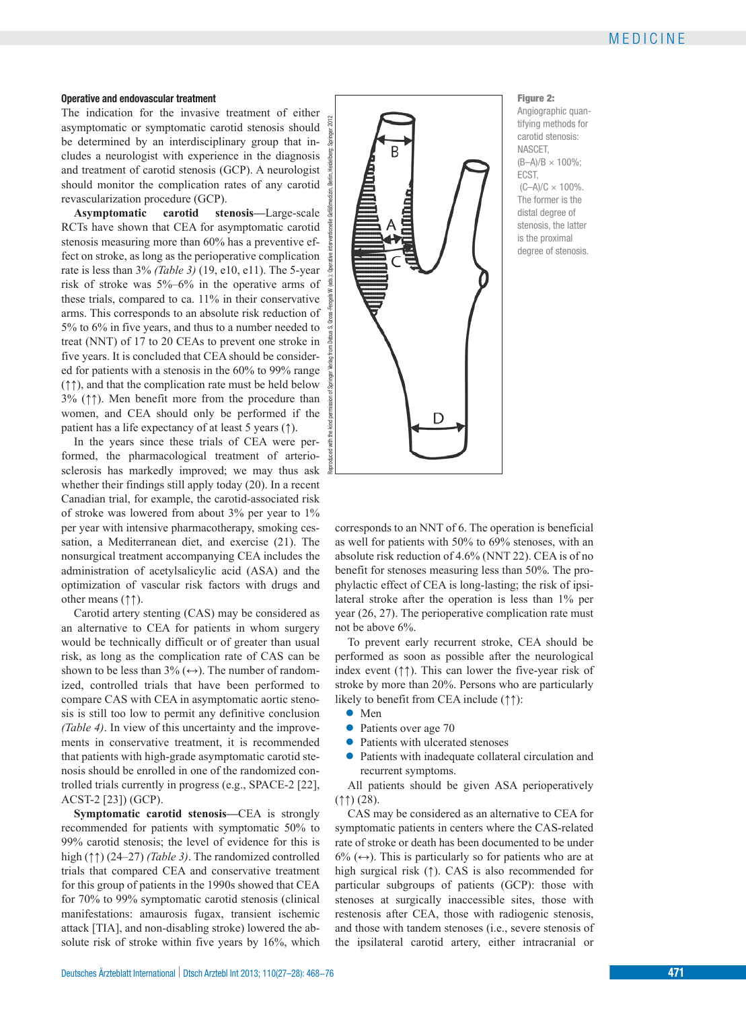### **Operative and endovascular treatment**

The indication for the invasive treatment of either asymptomatic or symptomatic carotid stenosis should be determined by an interdisciplinary group that includes a neurologist with experience in the diagnosis and treatment of carotid stenosis (GCP). A neurologist should monitor the complication rates of any carotid revascularization procedure (GCP).

**Asymptomatic carotid stenosis—**Large-scale RCTs have shown that CEA for asymptomatic carotid stenosis measuring more than 60% has a preventive effect on stroke, as long as the perioperative complication rate is less than 3% *(Table 3)* (19, e10, e11). The 5-year risk of stroke was 5%–6% in the operative arms of these trials, compared to ca. 11% in their conservative arms. This corresponds to an absolute risk reduction of 5% to 6% in five years, and thus to a number needed to treat (NNT) of 17 to 20 CEAs to prevent one stroke in five years. It is concluded that CEA should be considered for patients with a stenosis in the 60% to 99% range (↑↑), and that the complication rate must be held below 3% (↑↑). Men benefit more from the procedure than women, and CEA should only be performed if the patient has a life expectancy of at least 5 years (↑).

In the years since these trials of CEA were performed, the pharmacological treatment of arteriosclerosis has markedly improved; we may thus ask whether their findings still apply today (20). In a recent Canadian trial, for example, the carotid-associated risk of stroke was lowered from about 3% per year to 1% per year with intensive pharmacotherapy, smoking cessation, a Mediterranean diet, and exercise (21). The nonsurgical treatment accompanying CEA includes the administration of acetylsalicylic acid (ASA) and the optimization of vascular risk factors with drugs and other means (↑↑).

Carotid artery stenting (CAS) may be considered as an alternative to CEA for patients in whom surgery would be technically difficult or of greater than usual risk, as long as the complication rate of CAS can be shown to be less than  $3\%$  ( $\leftrightarrow$ ). The number of randomized, controlled trials that have been performed to compare CAS with CEA in asymptomatic aortic stenosis is still too low to permit any definitive conclusion *(Table 4)*. In view of this uncertainty and the improvements in conservative treatment, it is recommended that patients with high-grade asymptomatic carotid stenosis should be enrolled in one of the randomized controlled trials currently in progress (e.g., SPACE-2 [22], ACST-2 [23]) (GCP).

**Symptomatic carotid stenosis—**CEA is strongly recommended for patients with symptomatic 50% to 99% carotid stenosis; the level of evidence for this is high (↑↑) (24–27) *(Table 3)*. The randomized controlled trials that compared CEA and conservative treatment for this group of patients in the 1990s showed that CEA for 70% to 99% symptomatic carotid stenosis (clinical manifestations: amaurosis fugax, transient ischemic attack [TIA], and non-disabling stroke) lowered the absolute risk of stroke within five years by 16%, which



Figure 2: Angiographic quantifying methods for carotid stenosis: NASCET, (B–A)/B × 100%; ECST,  $(C-A)/C \times 100\%$ . The former is the distal degree of stenosis, the latter is the proximal degree of stenosis.

corresponds to an NNT of 6. The operation is beneficial as well for patients with 50% to 69% stenoses, with an absolute risk reduction of 4.6% (NNT 22). CEA is of no benefit for stenoses measuring less than 50%. The prophylactic effect of CEA is long-lasting; the risk of ipsilateral stroke after the operation is less than 1% per year (26, 27). The perioperative complication rate must not be above 6%.

To prevent early recurrent stroke, CEA should be performed as soon as possible after the neurological index event (↑↑). This can lower the five-year risk of stroke by more than 20%. Persons who are particularly likely to benefit from CEA include (↑↑):

- **●** Men
- **●** Patients over age 70
- Patients with ulcerated stenoses
- **●** Patients with inadequate collateral circulation and recurrent symptoms.

All patients should be given ASA perioperatively (↑↑) (28).

CAS may be considered as an alternative to CEA for symptomatic patients in centers where the CAS-related rate of stroke or death has been documented to be under  $6\%$  ( $\leftrightarrow$ ). This is particularly so for patients who are at high surgical risk (↑). CAS is also recommended for particular subgroups of patients (GCP): those with stenoses at surgically inaccessible sites, those with restenosis after CEA, those with radiogenic stenosis, and those with tandem stenoses (i.e., severe stenosis of the ipsilateral carotid artery, either intracranial or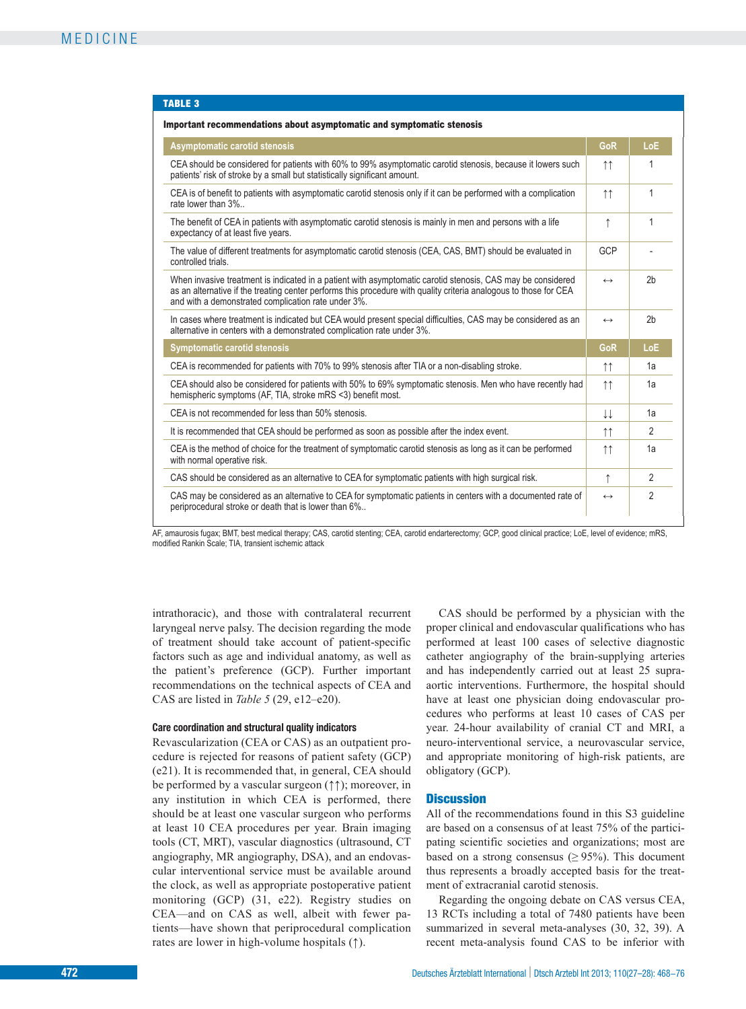#### TABLE 3

| Important recommendations about asymptomatic and symptomatic stenosis                                                                                                                                                                                                                   |                     |                |
|-----------------------------------------------------------------------------------------------------------------------------------------------------------------------------------------------------------------------------------------------------------------------------------------|---------------------|----------------|
| Asymptomatic carotid stenosis                                                                                                                                                                                                                                                           | GoR                 | LoE            |
| CEA should be considered for patients with 60% to 99% asymptomatic carotid stenosis, because it lowers such<br>patients' risk of stroke by a small but statistically significant amount.                                                                                                |                     | 1              |
| CEA is of benefit to patients with asymptomatic carotid stenosis only if it can be performed with a complication<br>rate lower than 3%                                                                                                                                                  | $\uparrow \uparrow$ | 1              |
| The benefit of CEA in patients with asymptomatic carotid stenosis is mainly in men and persons with a life<br>expectancy of at least five years.                                                                                                                                        | $\uparrow$          | 1              |
| The value of different treatments for asymptomatic carotid stenosis (CEA, CAS, BMT) should be evaluated in<br>controlled trials.                                                                                                                                                        | GCP                 |                |
| When invasive treatment is indicated in a patient with asymptomatic carotid stenosis, CAS may be considered<br>as an alternative if the treating center performs this procedure with quality criteria analogous to those for CEA<br>and with a demonstrated complication rate under 3%. | $\leftrightarrow$   | 2 <sub>b</sub> |
| In cases where treatment is indicated but CEA would present special difficulties, CAS may be considered as an<br>alternative in centers with a demonstrated complication rate under 3%.                                                                                                 | $\leftrightarrow$   | 2 <sub>b</sub> |
| <b>Symptomatic carotid stenosis</b>                                                                                                                                                                                                                                                     | GoR                 | <b>LoE</b>     |
| CEA is recommended for patients with 70% to 99% stenosis after TIA or a non-disabling stroke.                                                                                                                                                                                           |                     | 1a             |
| CEA should also be considered for patients with 50% to 69% symptomatic stenosis. Men who have recently had<br>hemispheric symptoms (AF, TIA, stroke mRS <3) benefit most.                                                                                                               | $\uparrow \uparrow$ | 1a             |
| CEA is not recommended for less than 50% stenosis.                                                                                                                                                                                                                                      |                     | 1a             |
| It is recommended that CEA should be performed as soon as possible after the index event.                                                                                                                                                                                               |                     | $\mathfrak{D}$ |
| CEA is the method of choice for the treatment of symptomatic carotid stenosis as long as it can be performed<br>with normal operative risk.                                                                                                                                             | $\uparrow \uparrow$ | 1a             |
| CAS should be considered as an alternative to CEA for symptomatic patients with high surgical risk.                                                                                                                                                                                     | ↑                   | 2              |
| CAS may be considered as an alternative to CEA for symptomatic patients in centers with a documented rate of<br>periprocedural stroke or death that is lower than 6%                                                                                                                    | $\leftrightarrow$   | $\mathfrak{p}$ |

AF, amaurosis fugax; BMT, best medical therapy; CAS, carotid stenting; CEA, carotid endarterectomy; GCP, good clinical practice; LoE, level of evidence; mRS, modified Rankin Scale; TIA, transient ischemic attack

 intrathoracic), and those with contralateral recurrent laryngeal nerve palsy. The decision regarding the mode of treatment should take account of patient-specific factors such as age and individual anatomy, as well as the patient's preference (GCP). Further important recommendations on the technical aspects of CEA and CAS are listed in *Table 5* (29, e12–e20).

#### **Care coordination and structural quality indicators**

Revascularization (CEA or CAS) as an outpatient procedure is rejected for reasons of patient safety (GCP) (e21). It is recommended that, in general, CEA should be performed by a vascular surgeon (↑↑); moreover, in any institution in which CEA is performed, there should be at least one vascular surgeon who performs at least 10 CEA procedures per year. Brain imaging tools (CT, MRT), vascular diagnostics (ultrasound, CT angiography, MR angiography, DSA), and an endovascular interventional service must be available around the clock, as well as appropriate postoperative patient monitoring (GCP) (31, e22). Registry studies on CEA—and on CAS as well, albeit with fewer patients—have shown that periprocedural complication rates are lower in high-volume hospitals (↑).

CAS should be performed by a physician with the proper clinical and endovascular qualifications who has performed at least 100 cases of selective diagnostic catheter angiography of the brain-supplying arteries and has independently carried out at least 25 supra aortic interventions. Furthermore, the hospital should have at least one physician doing endovascular procedures who performs at least 10 cases of CAS per year. 24-hour availability of cranial CT and MRI, a neuro-interventional service, a neurovascular service, and appropriate monitoring of high-risk patients, are obligatory (GCP).

#### **Discussion**

All of the recommendations found in this S3 guideline are based on a consensus of at least 75% of the participating scientific societies and organizations; most are based on a strong consensus ( $\geq$  95%). This document thus represents a broadly accepted basis for the treatment of extracranial carotid stenosis.

Regarding the ongoing debate on CAS versus CEA, 13 RCTs including a total of 7480 patients have been summarized in several meta-analyses (30, 32, 39). A recent meta-analysis found CAS to be inferior with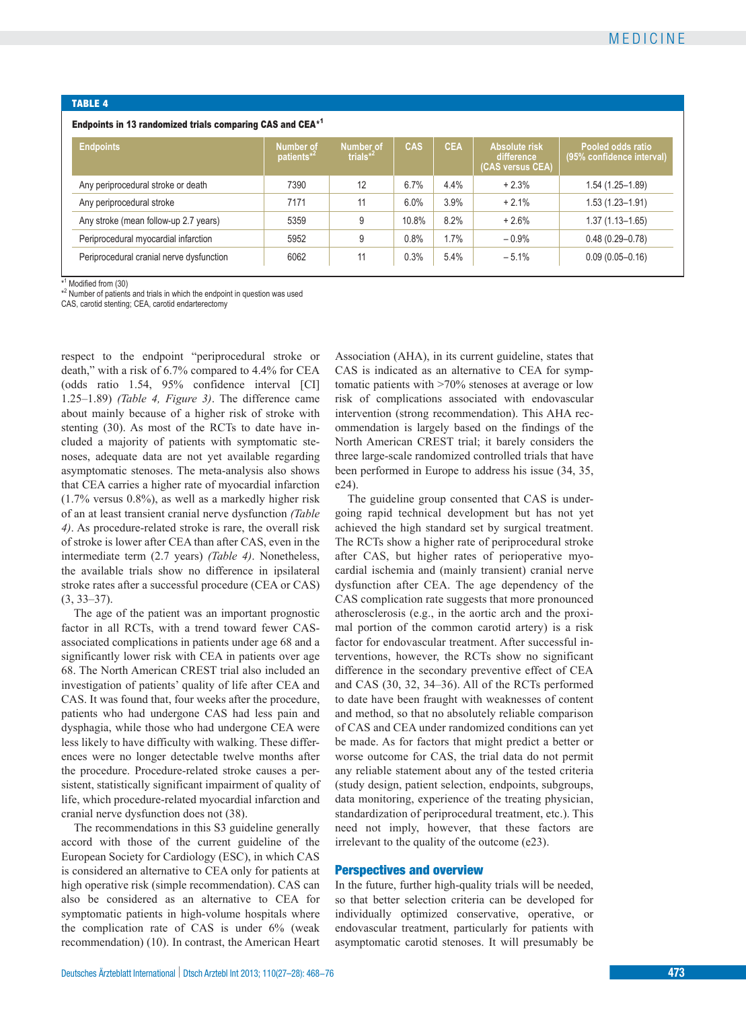#### TABLE 4

#### Endpoints in 13 randomized trials comparing CAS and CEA\*1

| <b>Endpoints</b>                         | <b>Number of</b><br>patients <sup>*2</sup> | <b>Number of</b><br>trials $*^2$ | CAS   | <b>CEA</b> | Absolute risk<br>difference<br>(CAS versus CEA) | Pooled odds ratio<br>(95% confidence interval) |
|------------------------------------------|--------------------------------------------|----------------------------------|-------|------------|-------------------------------------------------|------------------------------------------------|
| Any periprocedural stroke or death       | 7390                                       | 12                               | 6.7%  | 4.4%       | $+2.3%$                                         | $1.54(1.25 - 1.89)$                            |
| Any periprocedural stroke                | 7171                                       | 11                               | 6.0%  | 3.9%       | $+2.1%$                                         | $1.53(1.23 - 1.91)$                            |
| Any stroke (mean follow-up 2.7 years)    | 5359                                       | 9                                | 10.8% | 8.2%       | $+2.6%$                                         | $1.37(1.13 - 1.65)$                            |
| Periprocedural myocardial infarction     | 5952                                       | 9                                | 0.8%  | 1.7%       | $-0.9%$                                         | $0.48(0.29 - 0.78)$                            |
| Periprocedural cranial nerve dysfunction | 6062                                       | 11                               | 0.3%  | 5.4%       | $-5.1%$                                         | $0.09(0.05 - 0.16)$                            |

\*<sup>1</sup> Modified from (30)

\*<sup>2</sup> Number of patients and trials in which the endpoint in question was used

CAS, carotid stenting; CEA, carotid endarterectomy

 respect to the endpoint "periprocedural stroke or death," with a risk of 6.7% compared to 4.4% for CEA (odds ratio 1.54, 95% confidence interval [CI] 1.25–1.89) *(Table 4, Figure 3)*. The difference came about mainly because of a higher risk of stroke with stenting (30). As most of the RCTs to date have included a majority of patients with symptomatic stenoses, adequate data are not yet available regarding asymptomatic stenoses. The meta-analysis also shows that CEA carries a higher rate of myocardial infarction (1.7% versus 0.8%), as well as a markedly higher risk of an at least transient cranial nerve dysfunction *(Table 4)*. As procedure-related stroke is rare, the overall risk of stroke is lower after CEA than after CAS, even in the intermediate term (2.7 years) *(Table 4)*. Nonetheless, the available trials show no difference in ipsilateral stroke rates after a successful procedure (CEA or CAS) (3, 33–37).

The age of the patient was an important prognostic factor in all RCTs, with a trend toward fewer CAS associated complications in patients under age 68 and a significantly lower risk with CEA in patients over age 68. The North American CREST trial also included an investigation of patients' quality of life after CEA and CAS. It was found that, four weeks after the procedure, patients who had undergone CAS had less pain and dysphagia, while those who had undergone CEA were less likely to have difficulty with walking. These differences were no longer detectable twelve months after the procedure. Procedure-related stroke causes a persistent, statistically significant impairment of quality of life, which procedure-related myocardial infarction and cranial nerve dysfunction does not (38) .

The recommendations in this S3 guideline generally accord with those of the current guideline of the European Society for Cardiology (ESC), in which CAS is considered an alternative to CEA only for patients at high operative risk (simple recommendation). CAS can also be considered as an alternative to CEA for symptomatic patients in high-volume hospitals where the complication rate of CAS is under 6% (weak recommendation) (10). In contrast, the American Heart

Association (AHA), in its current guideline, states that CAS is indicated as an alternative to CEA for symptomatic patients with >70% stenoses at average or low risk of complications associated with endovascular intervention (strong recommendation). This AHA recommendation is largely based on the findings of the North American CREST trial; it barely considers the three large-scale randomized controlled trials that have been performed in Europe to address his issue (34, 35, e24).

The guideline group consented that CAS is undergoing rapid technical development but has not yet achieved the high standard set by surgical treatment. The RCTs show a higher rate of periprocedural stroke after CAS, but higher rates of perioperative myocardial ischemia and (mainly transient) cranial nerve dysfunction after CEA. The age dependency of the CAS complication rate suggests that more pronounced atherosclerosis (e.g., in the aortic arch and the proximal portion of the common carotid artery) is a risk factor for endovascular treatment. After successful interventions, however, the RCTs show no significant difference in the secondary preventive effect of CEA and CAS (30, 32, 34–36). All of the RCTs performed to date have been fraught with weaknesses of content and method, so that no absolutely reliable comparison of CAS and CEA under randomized conditions can yet be made. As for factors that might predict a better or worse outcome for CAS, the trial data do not permit any reliable statement about any of the tested criteria (study design, patient selection, endpoints, subgroups, data monitoring, experience of the treating physician, standardization of periprocedural treatment, etc.). This need not imply, however, that these factors are irrelevant to the quality of the outcome (e23).

#### Perspectives and overview

In the future, further high-quality trials will be needed, so that better selection criteria can be developed for individually optimized conservative, operative, or endo vascular treatment, particularly for patients with asymptomatic carotid stenoses. It will presumably be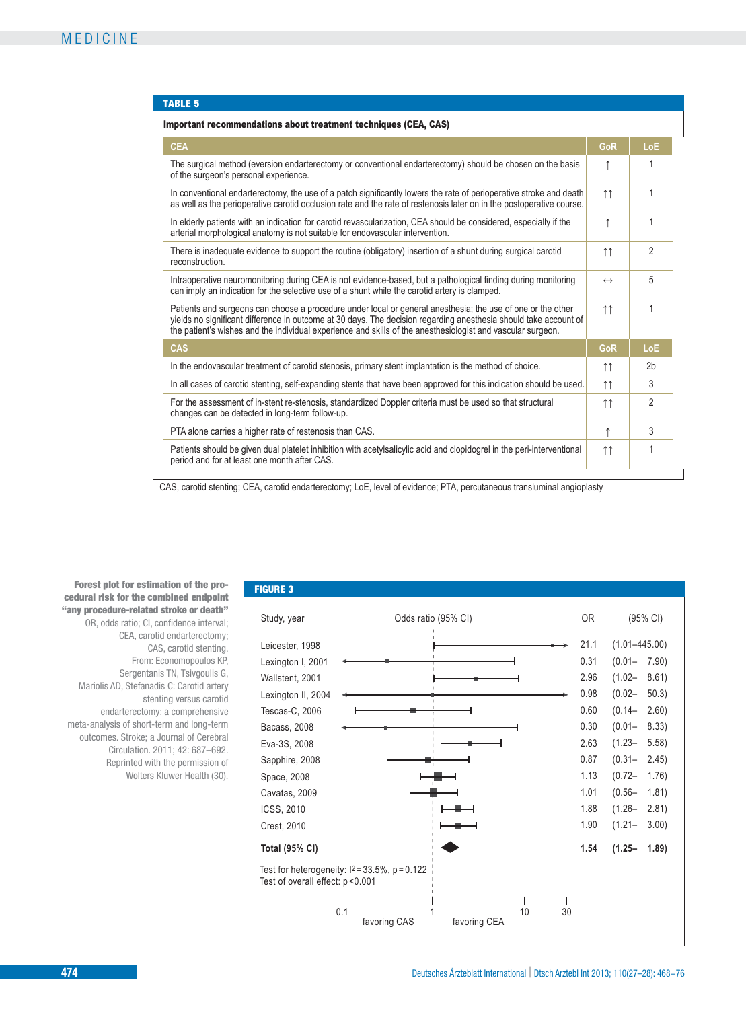#### TABLE 5

| <b>CEA</b>                                                                                                                                                                                                                                                                                                                                     | GoR                 | LoE            |
|------------------------------------------------------------------------------------------------------------------------------------------------------------------------------------------------------------------------------------------------------------------------------------------------------------------------------------------------|---------------------|----------------|
| The surgical method (eversion endarterectomy or conventional endarterectomy) should be chosen on the basis<br>of the surgeon's personal experience.                                                                                                                                                                                            |                     |                |
| In conventional endarterectomy, the use of a patch significantly lowers the rate of perioperative stroke and death<br>as well as the perioperative carotid occlusion rate and the rate of restenosis later on in the postoperative course.                                                                                                     |                     |                |
| In elderly patients with an indication for carotid revascularization, CEA should be considered, especially if the<br>arterial morphological anatomy is not suitable for endovascular intervention.                                                                                                                                             |                     |                |
| There is inadequate evidence to support the routine (obligatory) insertion of a shunt during surgical carotid<br>reconstruction.                                                                                                                                                                                                               | $\uparrow \uparrow$ | $\overline{2}$ |
| Intraoperative neuromonitoring during CEA is not evidence-based, but a pathological finding during monitoring<br>can imply an indication for the selective use of a shunt while the carotid artery is clamped.                                                                                                                                 | $\leftrightarrow$   | 5              |
| Patients and surgeons can choose a procedure under local or general anesthesia; the use of one or the other<br>yields no significant difference in outcome at 30 days. The decision regarding anesthesia should take account of<br>the patient's wishes and the individual experience and skills of the anesthesiologist and vascular surgeon. | $\uparrow \uparrow$ | 1              |
| <b>CAS</b>                                                                                                                                                                                                                                                                                                                                     | GoR                 | LoE            |
| In the endovascular treatment of carotid stenosis, primary stent implantation is the method of choice.                                                                                                                                                                                                                                         |                     | 2 <sub>b</sub> |
| In all cases of carotid stenting, self-expanding stents that have been approved for this indication should be used.                                                                                                                                                                                                                            |                     | 3              |
| For the assessment of in-stent re-stenosis, standardized Doppler criteria must be used so that structural<br>changes can be detected in long-term follow-up.                                                                                                                                                                                   |                     | $\mathfrak{p}$ |
| PTA alone carries a higher rate of restenosis than CAS.                                                                                                                                                                                                                                                                                        | ↑                   | 3              |
| Patients should be given dual platelet inhibition with acetylsalicylic acid and clopidogrel in the peri-interventional<br>period and for at least one month after CAS.                                                                                                                                                                         | $\uparrow \uparrow$ | 1              |

CAS, carotid stenting; CEA, carotid endarterectomy; LoE, level of evidence; PTA, percutaneous transluminal angioplasty

Study, year **Total (95% CI)** Test for heterogeneity:  $12 = 33.5\%$ , p = 0.122 Leicester, 1998 Lexington I, 2001 Wallstent, 2001 Lexington II, 2004 Tescas-C, 2006 Bacass, 2008 Eva-3S, 2008 Sapphire, 2008 Space, 2008 Cavatas, 2009 ICSS, 2010 Crest, 2010 Odds ratio (95% CI) OR (95% CI) Forest plot for estimation of the pro-<br>
FIGURE 3 cedural risk for the combined endpoint "any procedure-related stroke or death" OR, odds ratio; CI, confidence interval; CEA, carotid endarterectomy; CAS, carotid stenting. From: Economopoulos KP, Sergentanis TN, Tsivgoulis G, Mariolis AD, Stefanadis C: Carotid artery stenting versus carotid endarterectomy: a comprehensive meta-analysis of short-term and long-term outcomes. Stroke; a Journal of Cerebral Circulation. 2011; 42: 687–692. Reprinted with the permission of Wolters Kluwer Health (30).

Test of overall effect: p <0.001

0.1 1 1 1 1 30 favoring CAS favoring CEA

21.1 0.31 2.96 0.98 0.60 0.30 2.63 0.87 1.13 1.01 1.88 1.90 (1.01–445.00) (0.01– 7.90) (1.02– 8.61)  $(0.02 - 50.3)$  $(0.14 - 2.60)$ (0.01– 8.33) (1.23– 5.58)  $(0.31 - 2.45)$ (0.72– 1.76)  $(0.56 - 1.81)$ (1.26– 2.81) (1.21– 3.00)

**1.54 (1.25– 1.89)**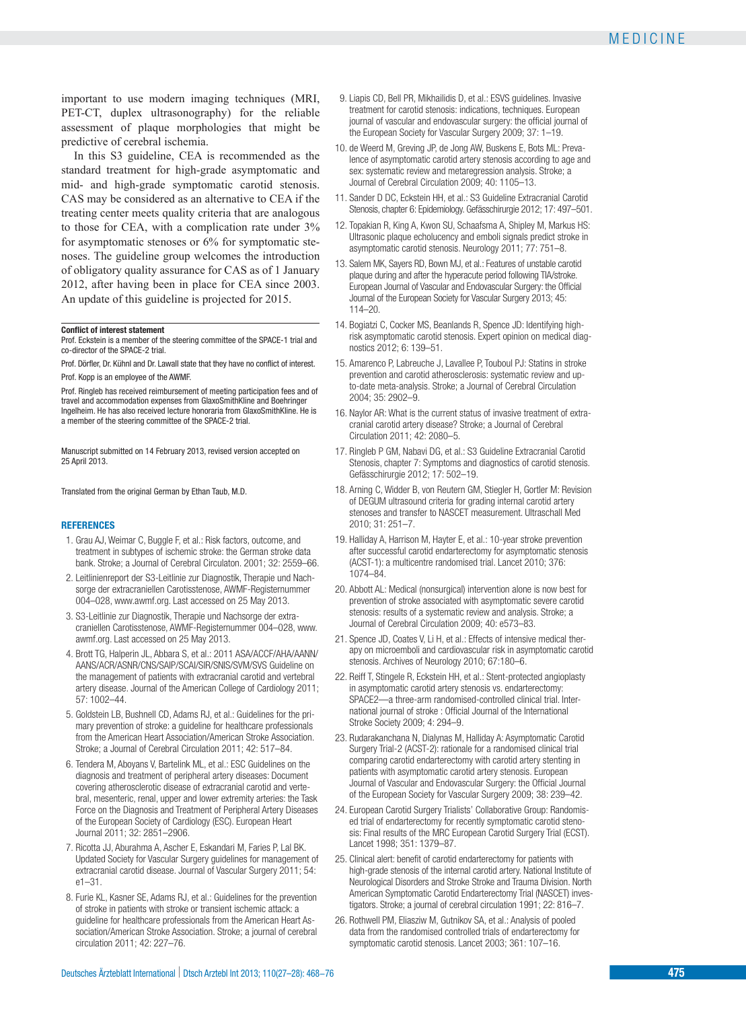important to use modern imaging techniques (MRI, PET-CT, duplex ultrasonography) for the reliable assessment of plaque morphologies that might be predictive of cerebral ischemia.

In this S3 guideline, CEA is recommended as the standard treatment for high-grade asymptomatic and mid- and high-grade symptomatic carotid stenosis. CAS may be considered as an alternative to CEA if the treating center meets quality criteria that are analogous to those for CEA, with a complication rate under 3% for asymptomatic stenoses or 6% for symptomatic stenoses. The guideline group welcomes the introduction of obligatory quality assurance for CAS as of 1 January 2012, after having been in place for CEA since 2003. An update of this guideline is projected for 2015.

### **Conflict of interest statement**

Prof. Eckstein is a member of the steering committee of the SPACE-1 trial and co-director of the SPACE-2 trial.

Prof. Dörfler, Dr. Kühnl and Dr. Lawall state that they have no conflict of interest. Prof. Kopp is an employee of the AWMF.

Prof. Ringleb has received reimbursement of meeting participation fees and of travel and accommodation expenses from GlaxoSmithKline and Boehringer Ingelheim. He has also received lecture honoraria from GlaxoSmithKline. He is a member of the steering committee of the SPACE-2 trial.

Manuscript submitted on 14 February 2013, revised version accepted on 25 April 2013.

Translated from the original German by Ethan Taub, M.D.

#### **REFERENCES**

- 1. Grau AJ, Weimar C, Buggle F, et al.: Risk factors, outcome, and treatment in subtypes of ischemic stroke: the German stroke data bank. Stroke; a Journal of Cerebral Circulaton. 2001; 32: 2559–66.
- 2. Leitlinienreport der S3-Leitlinie zur Diagnostik, Therapie und Nachsorge der extracraniellen Carotisstenose, AWMF-Registernummer 004–028, www.awmf.org. Last accessed on 25 May 2013.
- 3. S3-Leitlinie zur Diagnostik, Therapie und Nachsorge der extra craniellen Carotisstenose, AWMF-Registernummer 004–028, www. awmf.org. Last accessed on 25 May 2013.
- 4. Brott TG, Halperin JL, Abbara S, et al.: 2011 ASA/ACCF/AHA/AANN/ AANS/ACR/ASNR/CNS/SAIP/SCAI/SIR/SNIS/SVM/SVS Guideline on the management of patients with extracranial carotid and vertebral artery disease. Journal of the American College of Cardiology 2011; 57: 1002–44.
- 5. Goldstein LB, Bushnell CD, Adams RJ, et al.: Guidelines for the primary prevention of stroke: a guideline for healthcare professionals from the American Heart Association/American Stroke Association. Stroke; a Journal of Cerebral Circulation 2011; 42: 517–84.
- 6. Tendera M, Aboyans V, Bartelink ML, et al.: ESC Guidelines on the diagnosis and treatment of peripheral artery diseases: Document covering atherosclerotic disease of extracranial carotid and vertebral, mesenteric, renal, upper and lower extremity arteries: the Task Force on the Diagnosis and Treatment of Peripheral Artery Diseases of the European Society of Cardiology (ESC). European Heart Journal 2011; 32: 2851–2906.
- 7. Ricotta JJ, Aburahma A, Ascher E, Eskandari M, Faries P, Lal BK. Updated Society for Vascular Surgery guidelines for management of extracranial carotid disease. Journal of Vascular Surgery 2011; 54: e1–31.
- 8. Furie KL, Kasner SE, Adams RJ, et al.: Guidelines for the prevention of stroke in patients with stroke or transient ischemic attack: a guideline for healthcare professionals from the American Heart Association/American Stroke Association. Stroke; a journal of cerebral circulation 2011; 42: 227–76.
- 9. Liapis CD, Bell PR, Mikhailidis D, et al.: ESVS guidelines. Invasive treatment for carotid stenosis: indications, techniques. European journal of vascular and endovascular surgery: the official journal of the European Society for Vascular Surgery 2009; 37: 1–19.
- 10. de Weerd M, Greving JP, de Jong AW, Buskens E, Bots ML: Prevalence of asymptomatic carotid artery stenosis according to age and sex: systematic review and metaregression analysis. Stroke; a Journal of Cerebral Circulation 2009; 40: 1105–13.
- 11. Sander D DC, Eckstein HH, et al.: S3 Guideline Extracranial Carotid Stenosis, chapter 6: Epidemiology. Gefässchirurgie 2012; 17: 497–501.
- 12. Topakian R, King A, Kwon SU, Schaafsma A, Shipley M, Markus HS: Ultrasonic plaque echolucency and emboli signals predict stroke in asymptomatic carotid stenosis. Neurology 2011; 77: 751–8.
- 13. Salem MK, Sayers RD, Bown MJ, et al.: Features of unstable carotid plaque during and after the hyperacute period following TIA/stroke. European Journal of Vascular and Endovascular Surgery: the Official Journal of the European Society for Vascular Surgery 2013; 45: 114–20.
- 14. Bogiatzi C, Cocker MS, Beanlands R, Spence JD: Identifying highrisk asymptomatic carotid stenosis. Expert opinion on medical diagnostics 2012; 6: 139–51.
- 15. Amarenco P, Labreuche J, Lavallee P, Touboul PJ: Statins in stroke prevention and carotid atherosclerosis: systematic review and upto-date meta-analysis. Stroke; a Journal of Cerebral Circulation 2004; 35: 2902–9.
- 16. Naylor AR: What is the current status of invasive treatment of extracranial carotid artery disease? Stroke; a Journal of Cerebral Circulation 2011; 42: 2080–5.
- 17. Ringleb P GM, Nabavi DG, et al.: S3 Guideline Extracranial Carotid Stenosis, chapter 7: Symptoms and diagnostics of carotid stenosis. Gefässchirurgie 2012; 17: 502–19.
- 18. Arning C, Widder B, von Reutern GM, Stiegler H, Gortler M: Revision of DEGUM ultrasound criteria for grading internal carotid artery stenoses and transfer to NASCET measurement. Ultraschall Med 2010; 31: 251–7.
- 19. Halliday A, Harrison M, Hayter E, et al.: 10-year stroke prevention after successful carotid endarterectomy for asymptomatic stenosis (ACST-1): a multicentre randomised trial. Lancet 2010; 376: 1074–84.
- 20. Abbott AL: Medical (nonsurgical) intervention alone is now best for prevention of stroke associated with asymptomatic severe carotid stenosis: results of a systematic review and analysis. Stroke; a Journal of Cerebral Circulation 2009; 40: e573–83.
- 21. Spence JD, Coates V, Li H, et al.: Effects of intensive medical therapy on microemboli and cardiovascular risk in asymptomatic carotid stenosis. Archives of Neurology 2010; 67:180–6.
- 22. Reiff T, Stingele R, Eckstein HH, et al.: Stent-protected angioplasty in asymptomatic carotid artery stenosis vs. endarterectomy: SPACE2—a three-arm randomised-controlled clinical trial. International journal of stroke : Official Journal of the International Stroke Society 2009; 4: 294–9.
- 23. Rudarakanchana N, Dialynas M, Halliday A: Asymptomatic Carotid Surgery Trial-2 (ACST-2): rationale for a randomised clinical trial comparing carotid endarterectomy with carotid artery stenting in patients with asymptomatic carotid artery stenosis. European Journal of Vascular and Endovascular Surgery: the Official Journal of the European Society for Vascular Surgery 2009; 38: 239–42.
- 24. European Carotid Surgery Trialists' Collaborative Group: Randomised trial of endarterectomy for recently symptomatic carotid stenosis: Final results of the MRC European Carotid Surgery Trial (ECST). Lancet 1998; 351: 1379–87.
- 25. Clinical alert: benefit of carotid endarterectomy for patients with high-grade stenosis of the internal carotid artery. National Institute of Neurological Disorders and Stroke Stroke and Trauma Division. North American Symptomatic Carotid Endarterectomy Trial (NASCET) investigators. Stroke; a journal of cerebral circulation 1991; 22: 816–7.
- 26. Rothwell PM, Eliasziw M, Gutnikov SA, et al.: Analysis of pooled data from the randomised controlled trials of endarterectomy for symptomatic carotid stenosis. Lancet 2003; 361: 107–16.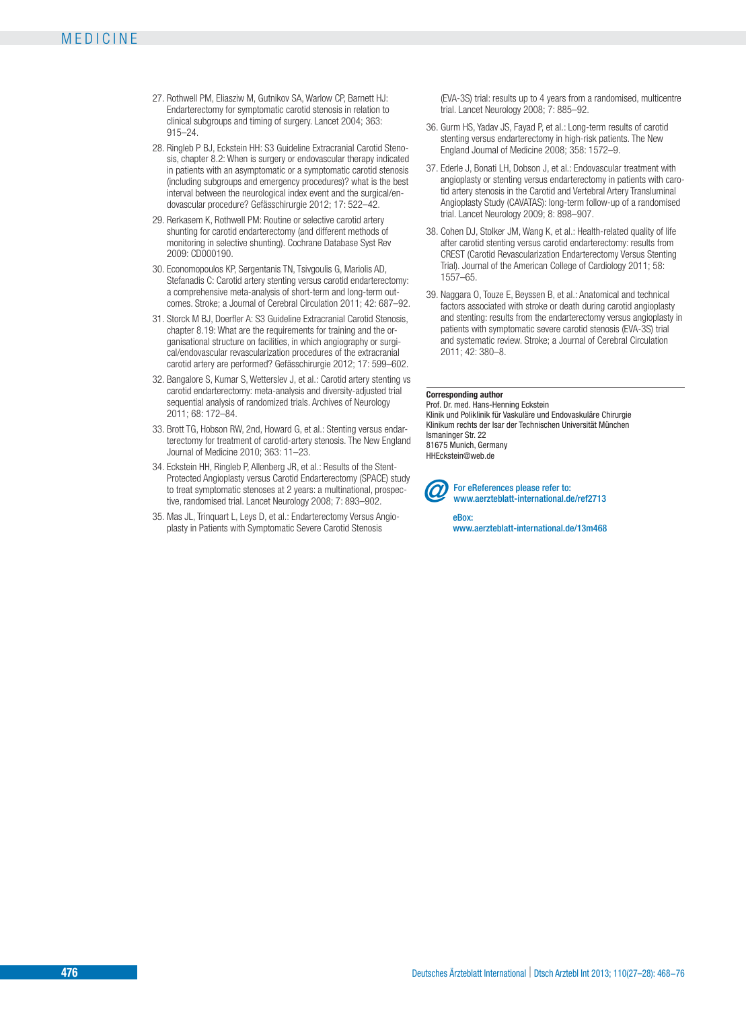- 27. Rothwell PM, Eliasziw M, Gutnikov SA, Warlow CP, Barnett HJ: Endarterectomy for symptomatic carotid stenosis in relation to clinical subgroups and timing of surgery. Lancet 2004; 363: 915–24.
- 28. Ringleb P BJ, Eckstein HH: S3 Guideline Extracranial Carotid Stenosis, chapter 8.2: When is surgery or endovascular therapy indicated in patients with an asymptomatic or a symptomatic carotid stenosis (including subgroups and emergency procedures)? what is the best interval between the neurological index event and the surgical/endovascular procedure? Gefässchirurgie 2012; 17: 522–42.
- 29. Rerkasem K, Rothwell PM: Routine or selective carotid artery shunting for carotid endarterectomy (and different methods of monitoring in selective shunting). Cochrane Database Syst Rev 2009: CD000190.
- 30. Economopoulos KP, Sergentanis TN, Tsivgoulis G, Mariolis AD, Stefanadis C: Carotid artery stenting versus carotid endarterectomy: a comprehensive meta-analysis of short-term and long-term out comes. Stroke; a Journal of Cerebral Circulation 2011; 42: 687–92.
- 31. Storck M BJ, Doerfler A: S3 Guideline Extracranial Carotid Stenosis, chapter 8.19: What are the requirements for training and the organisational structure on facilities, in which angiography or surgical/endovascular revascularization procedures of the extracranial carotid artery are performed? Gefässchirurgie 2012; 17: 599–602.
- 32. Bangalore S, Kumar S, Wetterslev J, et al.: Carotid artery stenting vs carotid endarterectomy: meta-analysis and diversity-adjusted trial sequential analysis of randomized trials. Archives of Neurology 2011; 68: 172–84.
- 33. Brott TG, Hobson RW, 2nd, Howard G, et al.: Stenting versus endarterectomy for treatment of carotid-artery stenosis. The New England Journal of Medicine 2010; 363: 11–23.
- 34. Eckstein HH, Ringleb P, Allenberg JR, et al.: Results of the Stent-Protected Angioplasty versus Carotid Endarterectomy (SPACE) study to treat symptomatic stenoses at 2 years: a multinational, prospective, randomised trial. Lancet Neurology 2008; 7: 893–902.
- 35. Mas JL, Trinquart L, Leys D, et al.: Endarterectomy Versus Angioplasty in Patients with Symptomatic Severe Carotid Stenosis

(EVA-3S) trial: results up to 4 years from a randomised, multicentre trial. Lancet Neurology 2008; 7: 885–92.

- 36. Gurm HS, Yadav JS, Fayad P, et al.: Long-term results of carotid stenting versus endarterectomy in high-risk patients. The New England Journal of Medicine 2008; 358: 1572–9.
- 37. Ederle J, Bonati LH, Dobson J, et al.: Endovascular treatment with angioplasty or stenting versus endarterectomy in patients with carotid artery stenosis in the Carotid and Vertebral Artery Transluminal Angioplasty Study (CAVATAS): long-term follow-up of a randomised trial. Lancet Neurology 2009; 8: 898–907.
- 38. Cohen DJ, Stolker JM, Wang K, et al.: Health-related quality of life after carotid stenting versus carotid endarterectomy: results from CREST (Carotid Revascularization Endarterectomy Versus Stenting Trial). Journal of the American College of Cardiology 2011; 58: 1557–65.
- 39. Naggara O, Touze E, Beyssen B, et al.: Anatomical and technical factors associated with stroke or death during carotid angioplasty and stenting: results from the endarterectomy versus angioplasty in patients with symptomatic severe carotid stenosis (EVA-3S) trial and systematic review. Stroke; a Journal of Cerebral Circulation 2011; 42: 380–8.

#### **Corresponding author**

Prof. Dr. med. Hans-Henning Eckstein Klinik und Poliklinik für Vaskuläre und Endovaskuläre Chirurgie Klinikum rechts der Isar der Technischen Universität München Ismaninger Str. 22 81675 Munich, Germany HHEckstein@web.de



**2** For eReferences please refer to: www.aerzteblatt-international.de/ref2713

> eBox: www.aerzteblatt-international.de/13m468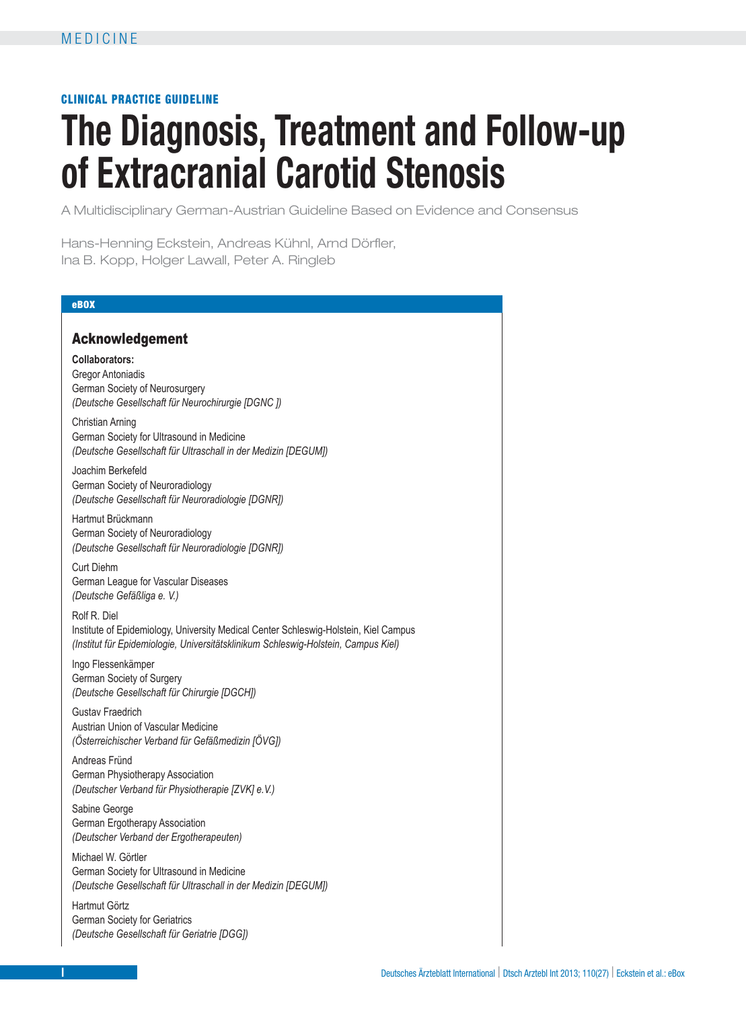# CLINICAL PRACTICE GUIDELINE

# **The Diagnosis, Treatment and Follow-up of Extracranial Carotid Stenosis**

A Multidisciplinary German-Austrian Guideline Based on Evidence and Consensus

Hans-Henning Eckstein, Andreas Kühnl, Arnd Dörfler, Ina B. Kopp, Holger Lawall, Peter A. Ringleb

### eBOX

# Acknowledgement

**Collaborators:**

Gregor Antoniadis German Society of Neurosurgery *(Deutsche Gesellschaft für Neurochirurgie [DGNC ])*

Christian Arning German Society for Ultrasound in Medicine *(Deutsche Gesellschaft für Ultraschall in der Medizin [DEGUM])*

Joachim Berkefeld German Society of Neuroradiology *(Deutsche Gesellschaft für Neuroradiologie [DGNR])*

Hartmut Brückmann German Society of Neuroradiology *(Deutsche Gesellschaft für Neuroradiologie [DGNR])*

Curt Diehm German League for Vascular Diseases *(Deutsche Gefäßliga e. V.)*

Rolf R. Diel Institute of Epidemiology, University Medical Center Schleswig-Holstein, Kiel Campus *(Institut für Epidemiologie, Universitätsklinikum Schleswig-Holstein, Campus Kiel)*

Ingo Flessenkämper German Society of Surgery *(Deutsche Gesellschaft für Chirurgie [DGCH])*

Gustav Fraedrich Austrian Union of Vascular Medicine *(Österreichischer Verband für Gefäßmedizin [ÖVG])*

Andreas Fründ German Physiotherapy Association *(Deutscher Verband für Physiotherapie [ZVK] e.V.)* 

Sabine George German Ergotherapy Association *(Deutscher Verband der Ergotherapeuten)*

Michael W. Görtler German Society for Ultrasound in Medicine *(Deutsche Gesellschaft für Ultraschall in der Medizin [DEGUM])*

Hartmut Görtz German Society for Geriatrics *(Deutsche Gesellschaft für Geriatrie [DGG])*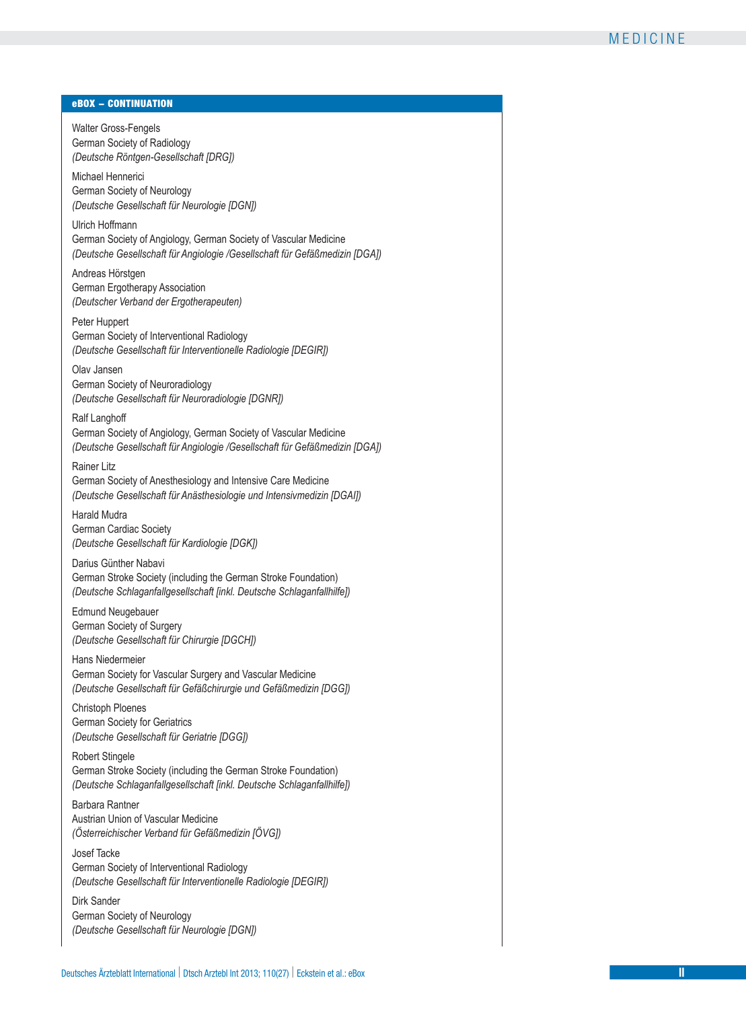#### eBOX − CONTINUATION

Walter Gross-Fengels German Society of Radiology *(Deutsche Röntgen-Gesellschaft [DRG])* 

Michael Hennerici German Society of Neurology *(Deutsche Gesellschaft für Neurologie [DGN])* 

Ulrich Hoffmann German Society of Angiology, German Society of Vascular Medicine *(Deutsche Gesellschaft für Angiologie /Gesellschaft für Gefäßmedizin [DGA])* 

Andreas Hörstgen German Ergotherapy Association *(Deutscher Verband der Ergotherapeuten)*

Peter Huppert German Society of Interventional Radiology *(Deutsche Gesellschaft für Interventionelle Radiologie [DEGIR])* 

Olav Jansen German Society of Neuroradiology *(Deutsche Gesellschaft für Neuroradiologie [DGNR])*

Ralf Langhoff German Society of Angiology, German Society of Vascular Medicine *(Deutsche Gesellschaft für Angiologie /Gesellschaft für Gefäßmedizin [DGA])* 

Rainer Litz German Society of Anesthesiology and Intensive Care Medicine *(Deutsche Gesellschaft für Anästhesiologie und Intensivmedizin [DGAI])* 

Harald Mudra German Cardiac Society *(Deutsche Gesellschaft für Kardiologie [DGK])*

Darius Günther Nabavi German Stroke Society (including the German Stroke Foundation) *(Deutsche Schlaganfallgesellschaft [inkl. Deutsche Schlaganfallhilfe])* 

Edmund Neugebauer German Society of Surgery *(Deutsche Gesellschaft für Chirurgie [DGCH])* 

Hans Niedermeier German Society for Vascular Surgery and Vascular Medicine *(Deutsche Gesellschaft für Gefäßchirurgie und Gefäßmedizin [DGG])* 

Christoph Ploenes German Society for Geriatrics *(Deutsche Gesellschaft für Geriatrie [DGG])* 

Robert Stingele German Stroke Society (including the German Stroke Foundation) *(Deutsche Schlaganfallgesellschaft [inkl. Deutsche Schlaganfallhilfe])* 

Barbara Rantner Austrian Union of Vascular Medicine *(Österreichischer Verband für Gefäßmedizin [ÖVG])*

Josef Tacke German Society of Interventional Radiology *(Deutsche Gesellschaft für Interventionelle Radiologie [DEGIR])* 

Dirk Sander German Society of Neurology *(Deutsche Gesellschaft für Neurologie [DGN])*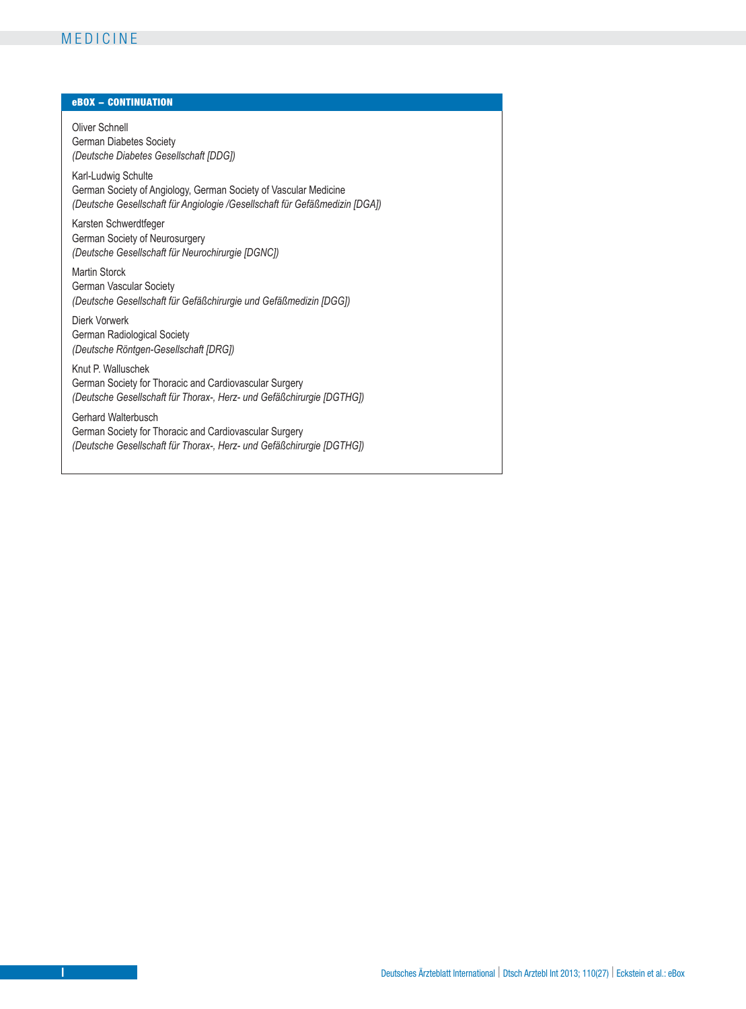# MEDICINE

# eBOX − CONTINUATION

Oliver Schnell German Diabetes Society *(Deutsche Diabetes Gesellschaft [DDG])* 

Karl-Ludwig Schulte German Society of Angiology, German Society of Vascular Medicine *(Deutsche Gesellschaft für Angiologie /Gesellschaft für Gefäßmedizin [DGA])* 

Karsten Schwerdtfeger German Society of Neurosurgery *(Deutsche Gesellschaft für Neurochirurgie [DGNC])* 

Martin Storck German Vascular Society *(Deutsche Gesellschaft für Gefäßchirurgie und Gefäßmedizin [DGG])* 

Dierk Vorwerk German Radiological Society *(Deutsche Röntgen-Gesellschaft [DRG])*

Knut P. Walluschek German Society for Thoracic and Cardiovascular Surgery *(Deutsche Gesellschaft für Thorax-, Herz- und Gefäßchirurgie [DGTHG])*

Gerhard Walterbusch German Society for Thoracic and Cardiovascular Surgery *(Deutsche Gesellschaft für Thorax-, Herz- und Gefäßchirurgie [DGTHG])*